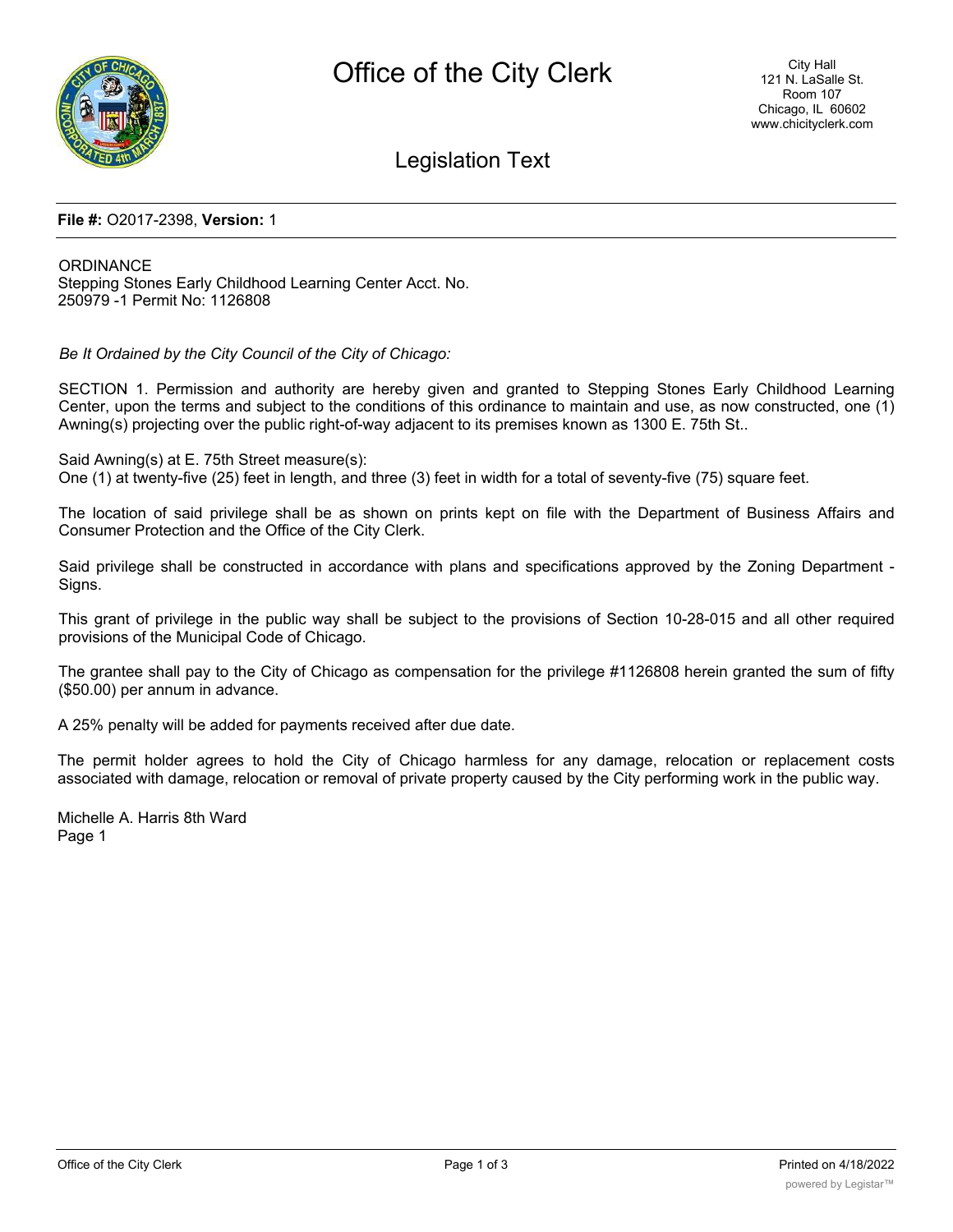

## Legislation Text

#### **File #:** O2017-2398, **Version:** 1

**ORDINANCE** Stepping Stones Early Childhood Learning Center Acct. No. 250979 -1 Permit No: 1126808

*Be It Ordained by the City Council of the City of Chicago:*

SECTION 1. Permission and authority are hereby given and granted to Stepping Stones Early Childhood Learning Center, upon the terms and subject to the conditions of this ordinance to maintain and use, as now constructed, one (1) Awning(s) projecting over the public right-of-way adjacent to its premises known as 1300 E. 75th St..

Said Awning(s) at E. 75th Street measure(s): One (1) at twenty-five (25) feet in length, and three (3) feet in width for a total of seventy-five (75) square feet.

The location of said privilege shall be as shown on prints kept on file with the Department of Business Affairs and Consumer Protection and the Office of the City Clerk.

Said privilege shall be constructed in accordance with plans and specifications approved by the Zoning Department - Signs.

This grant of privilege in the public way shall be subject to the provisions of Section 10-28-015 and all other required provisions of the Municipal Code of Chicago.

The grantee shall pay to the City of Chicago as compensation for the privilege #1126808 herein granted the sum of fifty (\$50.00) per annum in advance.

A 25% penalty will be added for payments received after due date.

The permit holder agrees to hold the City of Chicago harmless for any damage, relocation or replacement costs associated with damage, relocation or removal of private property caused by the City performing work in the public way.

Michelle A. Harris 8th Ward Page 1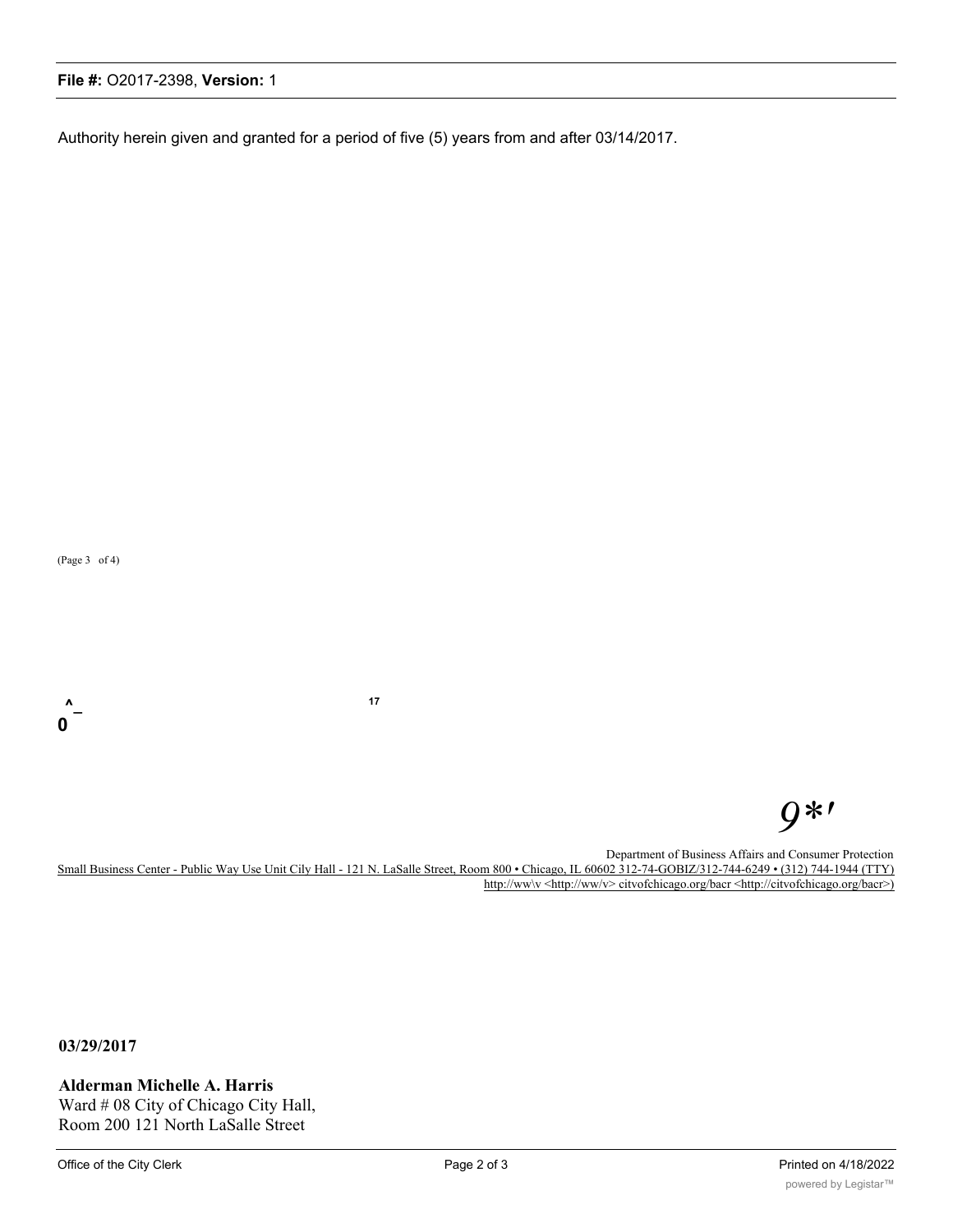### **File #:** O2017-2398, **Version:** 1

Authority herein given and granted for a period of five (5) years from and after 03/14/2017.

(Page 3 of 4)

**0**

**^\_ <sup>17</sup>**

# *9\*'*

Department of Business Affairs and Consumer Protection

Small Business Center - Public Way Use Unit Cily Hall - 121 N. LaSalle Street, Room 800 • Chicago, IL 60602 312-74-GOBIZ/312-744-6249 • (312) 744-1944 (TTY) http://ww\v <http://ww/v> citvofchicago.org/bacr <http://citvofchicago.org/bacr>)

**03/29/2017**

**Alderman Michelle A. Harris**

Ward # 08 City of Chicago City Hall, Room 200 121 North LaSalle Street